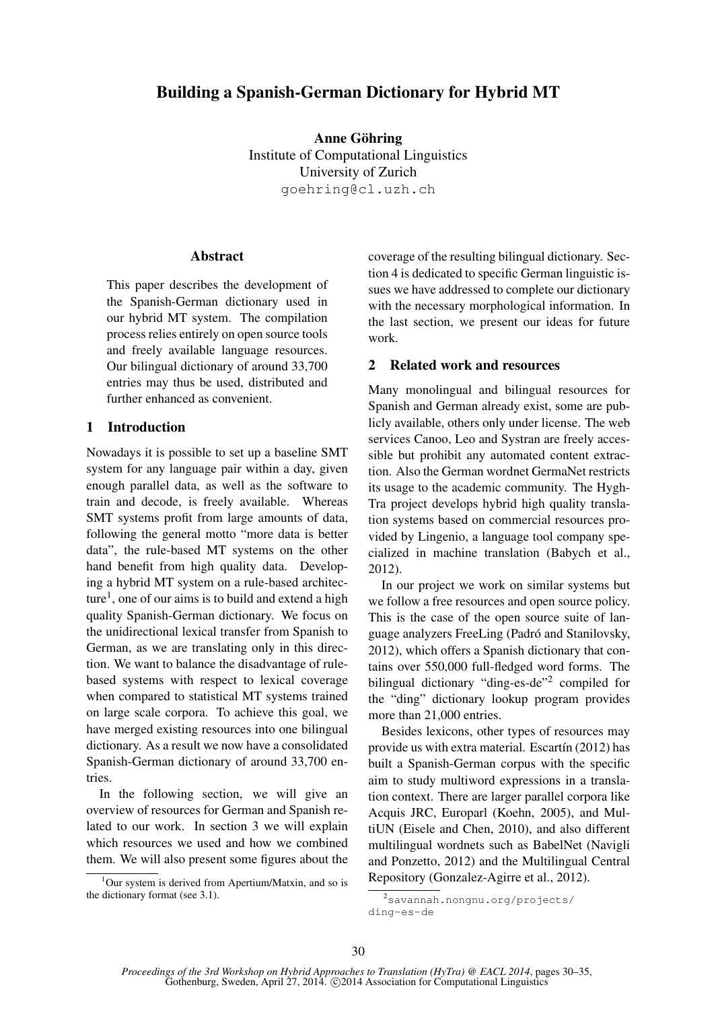# Building a Spanish-German Dictionary for Hybrid MT

Anne Göhring Institute of Computational Linguistics University of Zurich goehring@cl.uzh.ch

## Abstract

This paper describes the development of the Spanish-German dictionary used in our hybrid MT system. The compilation process relies entirely on open source tools and freely available language resources. Our bilingual dictionary of around 33,700 entries may thus be used, distributed and further enhanced as convenient.

# 1 Introduction

Nowadays it is possible to set up a baseline SMT system for any language pair within a day, given enough parallel data, as well as the software to train and decode, is freely available. Whereas SMT systems profit from large amounts of data, following the general motto "more data is better data", the rule-based MT systems on the other hand benefit from high quality data. Developing a hybrid MT system on a rule-based architecture<sup>1</sup>, one of our aims is to build and extend a high quality Spanish-German dictionary. We focus on the unidirectional lexical transfer from Spanish to German, as we are translating only in this direction. We want to balance the disadvantage of rulebased systems with respect to lexical coverage when compared to statistical MT systems trained on large scale corpora. To achieve this goal, we have merged existing resources into one bilingual dictionary. As a result we now have a consolidated Spanish-German dictionary of around 33,700 entries.

In the following section, we will give an overview of resources for German and Spanish related to our work. In section 3 we will explain which resources we used and how we combined them. We will also present some figures about the coverage of the resulting bilingual dictionary. Section 4 is dedicated to specific German linguistic issues we have addressed to complete our dictionary with the necessary morphological information. In the last section, we present our ideas for future work.

# 2 Related work and resources

Many monolingual and bilingual resources for Spanish and German already exist, some are publicly available, others only under license. The web services Canoo, Leo and Systran are freely accessible but prohibit any automated content extraction. Also the German wordnet GermaNet restricts its usage to the academic community. The Hygh-Tra project develops hybrid high quality translation systems based on commercial resources provided by Lingenio, a language tool company specialized in machine translation (Babych et al., 2012).

In our project we work on similar systems but we follow a free resources and open source policy. This is the case of the open source suite of language analyzers FreeLing (Padró and Stanilovsky, 2012), which offers a Spanish dictionary that contains over 550,000 full-fledged word forms. The bilingual dictionary "ding-es-de"<sup>2</sup> compiled for the "ding" dictionary lookup program provides more than 21,000 entries.

Besides lexicons, other types of resources may provide us with extra material. Escartín  $(2012)$  has built a Spanish-German corpus with the specific aim to study multiword expressions in a translation context. There are larger parallel corpora like Acquis JRC, Europarl (Koehn, 2005), and MultiUN (Eisele and Chen, 2010), and also different multilingual wordnets such as BabelNet (Navigli and Ponzetto, 2012) and the Multilingual Central Repository (Gonzalez-Agirre et al., 2012).

<sup>&</sup>lt;sup>1</sup>Our system is derived from Apertium/Matxin, and so is the dictionary format (see 3.1).

<sup>2</sup>savannah.nongnu.org/projects/ ding-es-de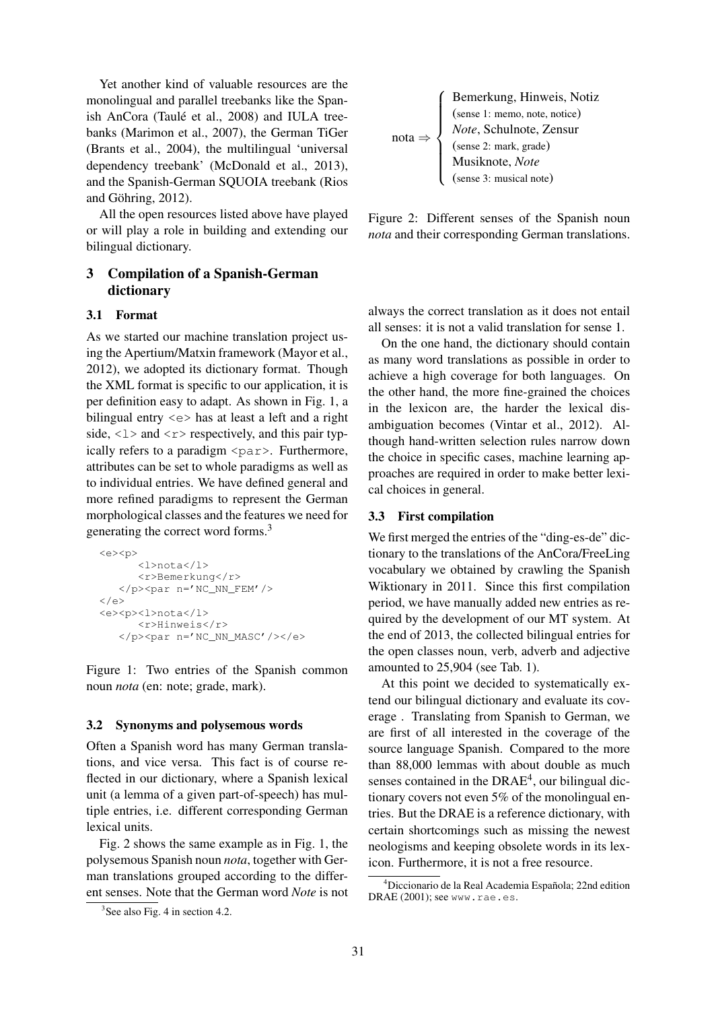Yet another kind of valuable resources are the monolingual and parallel treebanks like the Spanish AnCora (Taulé et al., 2008) and IULA treebanks (Marimon et al., 2007), the German TiGer (Brants et al., 2004), the multilingual 'universal dependency treebank' (McDonald et al., 2013), and the Spanish-German SQUOIA treebank (Rios and Göhring,  $2012$ ).

All the open resources listed above have played or will play a role in building and extending our bilingual dictionary.

# 3 Compilation of a Spanish-German dictionary

### 3.1 Format

As we started our machine translation project using the Apertium/Matxin framework (Mayor et al., 2012), we adopted its dictionary format. Though the XML format is specific to our application, it is per definition easy to adapt. As shown in Fig. 1, a bilingual entry <e> has at least a left and a right side,  $\langle 1 \rangle$  and  $\langle r \rangle$  respectively, and this pair typically refers to a paradigm  $\langle$ par $\rangle$ . Furthermore, attributes can be set to whole paradigms as well as to individual entries. We have defined general and more refined paradigms to represent the German morphological classes and the features we need for generating the correct word forms.<sup>3</sup>

```
<e><p>
       <l>nota</l>
       <r>Bemerkung</r>
   \langle/p>\langlepar n='NC_NN_FEM'/>
\langle \rangle<e><p><l>nota</l>
       <r>Hinweis</r>
   </p><par n='NC_NN_MASC'/></e>
```
Figure 1: Two entries of the Spanish common noun *nota* (en: note; grade, mark).

### 3.2 Synonyms and polysemous words

Often a Spanish word has many German translations, and vice versa. This fact is of course reflected in our dictionary, where a Spanish lexical unit (a lemma of a given part-of-speech) has multiple entries, i.e. different corresponding German lexical units.

Fig. 2 shows the same example as in Fig. 1, the polysemous Spanish noun *nota*, together with German translations grouped according to the different senses. Note that the German word *Note* is not

| \n $\text{Bemerkung, Hinweis, Notiz}$ \n                                                                                                                 |
|----------------------------------------------------------------------------------------------------------------------------------------------------------|
| \n        (sense 1: memo, note, notice)\n <i>Note</i> , Schulnote, Zensur\n<br>\n        (sense 2: mark, grade)\n<br>\n        Musiknote, <i>Note</i> \n |
| \n        (sense 2: mark, grade)\n<br>\n        (sense 3: musical note)\n                                                                                |

Figure 2: Different senses of the Spanish noun *nota* and their corresponding German translations.

always the correct translation as it does not entail all senses: it is not a valid translation for sense 1.

On the one hand, the dictionary should contain as many word translations as possible in order to achieve a high coverage for both languages. On the other hand, the more fine-grained the choices in the lexicon are, the harder the lexical disambiguation becomes (Vintar et al., 2012). Although hand-written selection rules narrow down the choice in specific cases, machine learning approaches are required in order to make better lexical choices in general.

### 3.3 First compilation

We first merged the entries of the "ding-es-de" dictionary to the translations of the AnCora/FreeLing vocabulary we obtained by crawling the Spanish Wiktionary in 2011. Since this first compilation period, we have manually added new entries as required by the development of our MT system. At the end of 2013, the collected bilingual entries for the open classes noun, verb, adverb and adjective amounted to 25,904 (see Tab. 1).

At this point we decided to systematically extend our bilingual dictionary and evaluate its coverage . Translating from Spanish to German, we are first of all interested in the coverage of the source language Spanish. Compared to the more than 88,000 lemmas with about double as much senses contained in the  $DRAE<sup>4</sup>$ , our bilingual dictionary covers not even 5% of the monolingual entries. But the DRAE is a reference dictionary, with certain shortcomings such as missing the newest neologisms and keeping obsolete words in its lexicon. Furthermore, it is not a free resource.

<sup>3</sup> See also Fig. 4 in section 4.2.

<sup>&</sup>lt;sup>4</sup>Diccionario de la Real Academia Española; 22nd edition DRAE (2001); see www.rae.es.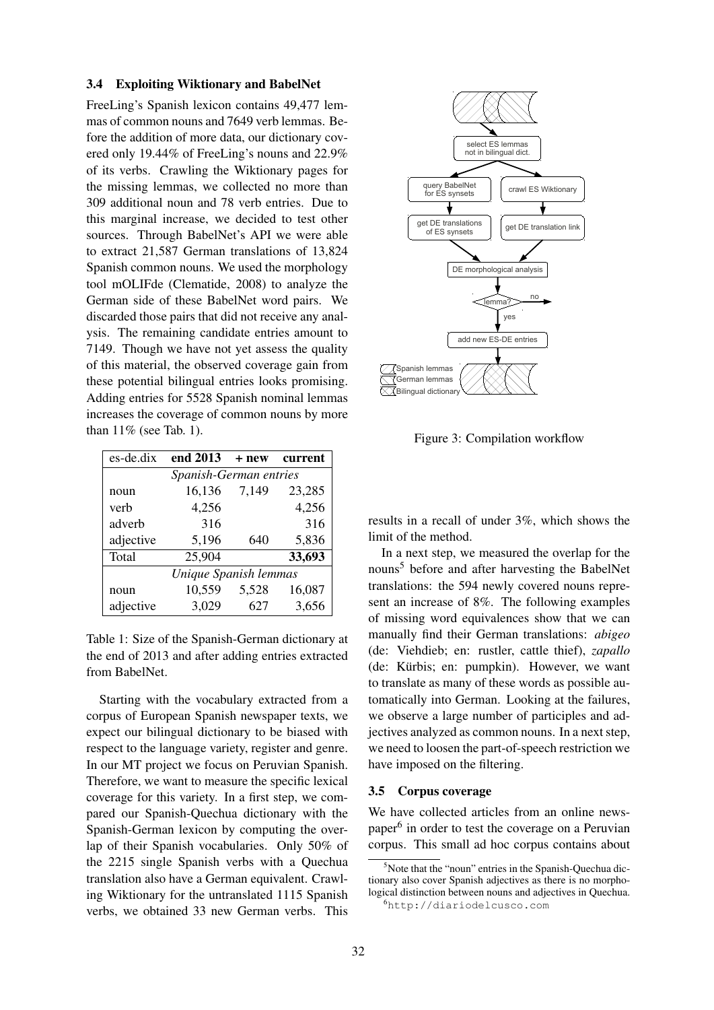#### 3.4 Exploiting Wiktionary and BabelNet

FreeLing's Spanish lexicon contains 49,477 lemmas of common nouns and 7649 verb lemmas. Before the addition of more data, our dictionary covered only 19.44% of FreeLing's nouns and 22.9% of its verbs. Crawling the Wiktionary pages for the missing lemmas, we collected no more than 309 additional noun and 78 verb entries. Due to this marginal increase, we decided to test other sources. Through BabelNet's API we were able to extract 21,587 German translations of 13,824 Spanish common nouns. We used the morphology tool mOLIFde (Clematide, 2008) to analyze the German side of these BabelNet word pairs. We discarded those pairs that did not receive any analysis. The remaining candidate entries amount to 7149. Though we have not yet assess the quality of this material, the observed coverage gain from these potential bilingual entries looks promising. Adding entries for 5528 Spanish nominal lemmas increases the coverage of common nouns by more than 11% (see Tab. 1).

| es-de.dix              | end 2013 | + new | current |  |  |  |
|------------------------|----------|-------|---------|--|--|--|
| Spanish-German entries |          |       |         |  |  |  |
| noun                   | 16,136   | 7,149 | 23,285  |  |  |  |
| verb                   | 4,256    |       | 4,256   |  |  |  |
| adverb                 | 316      |       | 316     |  |  |  |
| adjective              | 5,196    | 640   | 5,836   |  |  |  |
| Total                  | 25,904   |       | 33,693  |  |  |  |
| Unique Spanish lemmas  |          |       |         |  |  |  |
| noun                   | 10,559   | 5,528 | 16,087  |  |  |  |
| adjective              | 3,029    | 627   | 3,656   |  |  |  |

Table 1: Size of the Spanish-German dictionary at the end of 2013 and after adding entries extracted from BabelNet.

Starting with the vocabulary extracted from a corpus of European Spanish newspaper texts, we expect our bilingual dictionary to be biased with respect to the language variety, register and genre. In our MT project we focus on Peruvian Spanish. Therefore, we want to measure the specific lexical coverage for this variety. In a first step, we compared our Spanish-Quechua dictionary with the Spanish-German lexicon by computing the overlap of their Spanish vocabularies. Only 50% of the 2215 single Spanish verbs with a Quechua translation also have a German equivalent. Crawling Wiktionary for the untranslated 1115 Spanish verbs, we obtained 33 new German verbs. This



Figure 3: Compilation workflow

results in a recall of under 3%, which shows the limit of the method.

In a next step, we measured the overlap for the nouns<sup>5</sup> before and after harvesting the BabelNet translations: the 594 newly covered nouns represent an increase of 8%. The following examples of missing word equivalences show that we can manually find their German translations: *abigeo* (de: Viehdieb; en: rustler, cattle thief), *zapallo* (de: Kürbis; en: pumpkin). However, we want to translate as many of these words as possible automatically into German. Looking at the failures, we observe a large number of participles and adjectives analyzed as common nouns. In a next step, we need to loosen the part-of-speech restriction we have imposed on the filtering.

#### 3.5 Corpus coverage

We have collected articles from an online newspaper<sup>6</sup> in order to test the coverage on a Peruvian corpus. This small ad hoc corpus contains about

<sup>&</sup>lt;sup>5</sup>Note that the "noun" entries in the Spanish-Quechua dictionary also cover Spanish adjectives as there is no morphological distinction between nouns and adjectives in Quechua.

<sup>6</sup>http://diariodelcusco.com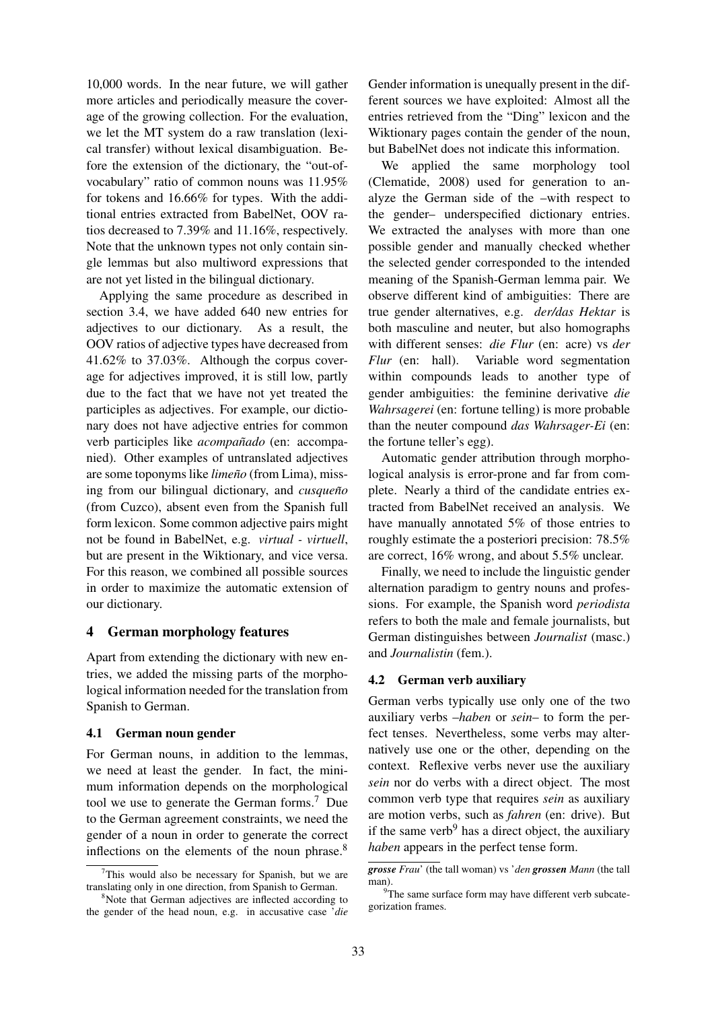10,000 words. In the near future, we will gather more articles and periodically measure the coverage of the growing collection. For the evaluation, we let the MT system do a raw translation (lexical transfer) without lexical disambiguation. Before the extension of the dictionary, the "out-ofvocabulary" ratio of common nouns was 11.95% for tokens and 16.66% for types. With the additional entries extracted from BabelNet, OOV ratios decreased to 7.39% and 11.16%, respectively. Note that the unknown types not only contain single lemmas but also multiword expressions that are not yet listed in the bilingual dictionary.

Applying the same procedure as described in section 3.4, we have added 640 new entries for adjectives to our dictionary. As a result, the OOV ratios of adjective types have decreased from 41.62% to 37.03%. Although the corpus coverage for adjectives improved, it is still low, partly due to the fact that we have not yet treated the participles as adjectives. For example, our dictionary does not have adjective entries for common verb participles like *acompañado* (en: accompanied). Other examples of untranslated adjectives are some toponyms like *limeño* (from Lima), missing from our bilingual dictionary, and *cusqueño* (from Cuzco), absent even from the Spanish full form lexicon. Some common adjective pairs might not be found in BabelNet, e.g. *virtual - virtuell*, but are present in the Wiktionary, and vice versa. For this reason, we combined all possible sources in order to maximize the automatic extension of our dictionary.

### 4 German morphology features

Apart from extending the dictionary with new entries, we added the missing parts of the morphological information needed for the translation from Spanish to German.

#### 4.1 German noun gender

For German nouns, in addition to the lemmas, we need at least the gender. In fact, the minimum information depends on the morphological tool we use to generate the German forms.<sup>7</sup> Due to the German agreement constraints, we need the gender of a noun in order to generate the correct inflections on the elements of the noun phrase.<sup>8</sup>

Gender information is unequally present in the different sources we have exploited: Almost all the entries retrieved from the "Ding" lexicon and the Wiktionary pages contain the gender of the noun, but BabelNet does not indicate this information.

We applied the same morphology tool (Clematide, 2008) used for generation to analyze the German side of the –with respect to the gender– underspecified dictionary entries. We extracted the analyses with more than one possible gender and manually checked whether the selected gender corresponded to the intended meaning of the Spanish-German lemma pair. We observe different kind of ambiguities: There are true gender alternatives, e.g. *der/das Hektar* is both masculine and neuter, but also homographs with different senses: *die Flur* (en: acre) vs *der Flur* (en: hall). Variable word segmentation within compounds leads to another type of gender ambiguities: the feminine derivative *die Wahrsagerei* (en: fortune telling) is more probable than the neuter compound *das Wahrsager-Ei* (en: the fortune teller's egg).

Automatic gender attribution through morphological analysis is error-prone and far from complete. Nearly a third of the candidate entries extracted from BabelNet received an analysis. We have manually annotated 5% of those entries to roughly estimate the a posteriori precision: 78.5% are correct, 16% wrong, and about 5.5% unclear.

Finally, we need to include the linguistic gender alternation paradigm to gentry nouns and professions. For example, the Spanish word *periodista* refers to both the male and female journalists, but German distinguishes between *Journalist* (masc.) and *Journalistin* (fem.).

## 4.2 German verb auxiliary

German verbs typically use only one of the two auxiliary verbs –*haben* or *sein*– to form the perfect tenses. Nevertheless, some verbs may alternatively use one or the other, depending on the context. Reflexive verbs never use the auxiliary *sein* nor do verbs with a direct object. The most common verb type that requires *sein* as auxiliary are motion verbs, such as *fahren* (en: drive). But if the same verb<sup>9</sup> has a direct object, the auxiliary *haben* appears in the perfect tense form.

 $7$ This would also be necessary for Spanish, but we are translating only in one direction, from Spanish to German.

<sup>&</sup>lt;sup>8</sup>Note that German adjectives are inflected according to the gender of the head noun, e.g. in accusative case '*die*

*grosse Frau*' (the tall woman) vs '*den grossen Mann* (the tall man).

 $9$ The same surface form may have different verb subcategorization frames.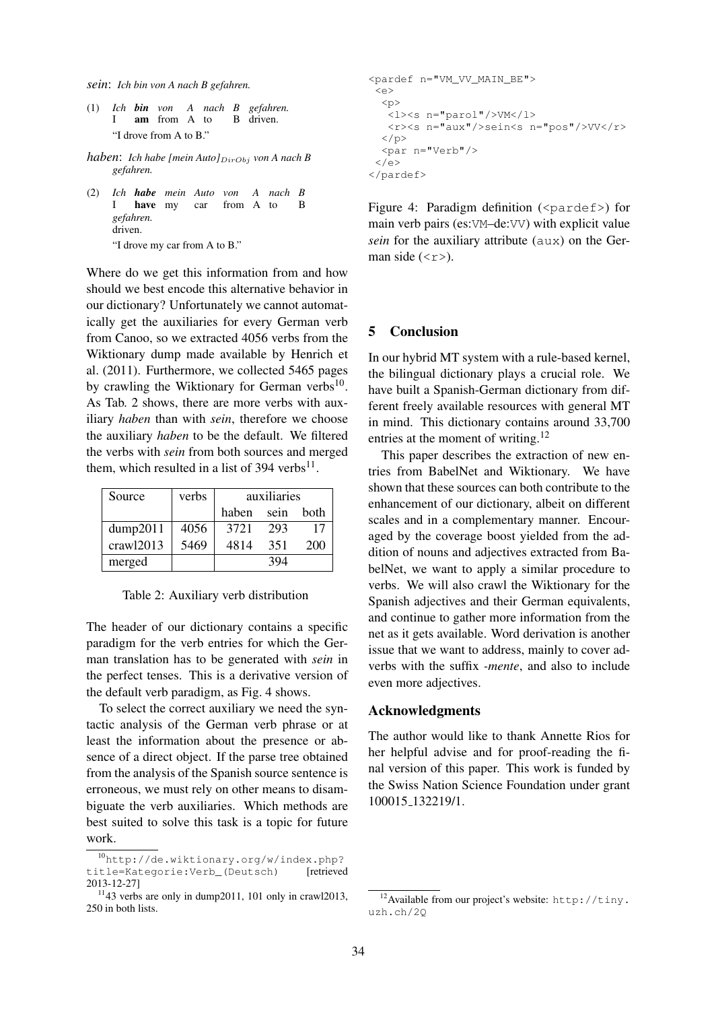*sein*: *Ich bin von A nach B gefahren.*

- (1) *Ich bin von A nach B gefahren.* I am from A to B driven. "I drove from A to B."
- *haben: Ich habe [mein Auto]* $_{DirObj}$  *von A nach B gefahren.*
- (2) *Ich habe mein Auto von A nach B* I have my car from A to B *gefahren.* driven. "I drove my car from A to B."

Where do we get this information from and how should we best encode this alternative behavior in our dictionary? Unfortunately we cannot automatically get the auxiliaries for every German verb from Canoo, so we extracted 4056 verbs from the Wiktionary dump made available by Henrich et al. (2011). Furthermore, we collected 5465 pages by crawling the Wiktionary for German verbs<sup>10</sup>. As Tab. 2 shows, there are more verbs with auxiliary *haben* than with *sein*, therefore we choose the auxiliary *haben* to be the default. We filtered the verbs with *sein* from both sources and merged them, which resulted in a list of 394 verbs $11$ .

| Source    | verbs | auxiliaries |      |      |
|-----------|-------|-------------|------|------|
|           |       | haben       | sein | both |
| dump2011  | 4056  | 3721        | 293  | 17   |
| crawl2013 | 5469  | 4814        | 351  | 200  |
| merged    |       |             | 394  |      |

Table 2: Auxiliary verb distribution

The header of our dictionary contains a specific paradigm for the verb entries for which the German translation has to be generated with *sein* in the perfect tenses. This is a derivative version of the default verb paradigm, as Fig. 4 shows.

To select the correct auxiliary we need the syntactic analysis of the German verb phrase or at least the information about the presence or absence of a direct object. If the parse tree obtained from the analysis of the Spanish source sentence is erroneous, we must rely on other means to disambiguate the verb auxiliaries. Which methods are best suited to solve this task is a topic for future work.

```
<pardef n="VM_VV_MAIN_BE">
 <e>
  < p\text{L} > \text{L} n="parol"/>VM</l>
   <r><s n="aux"/>sein<s n="pos"/>VV</r>
  \langle/p>
  <par n="Verb"/>
 \langle/e>
</pardef>
```
Figure 4: Paradigm definition ( $\epsilon$  pardef>) for main verb pairs (es:VM–de:VV) with explicit value *sein* for the auxiliary attribute (aux) on the German side  $(**r**)$ .

# 5 Conclusion

In our hybrid MT system with a rule-based kernel, the bilingual dictionary plays a crucial role. We have built a Spanish-German dictionary from different freely available resources with general MT in mind. This dictionary contains around 33,700 entries at the moment of writing.<sup>12</sup>

This paper describes the extraction of new entries from BabelNet and Wiktionary. We have shown that these sources can both contribute to the enhancement of our dictionary, albeit on different scales and in a complementary manner. Encouraged by the coverage boost yielded from the addition of nouns and adjectives extracted from BabelNet, we want to apply a similar procedure to verbs. We will also crawl the Wiktionary for the Spanish adjectives and their German equivalents, and continue to gather more information from the net as it gets available. Word derivation is another issue that we want to address, mainly to cover adverbs with the suffix *-mente*, and also to include even more adjectives.

# Acknowledgments

The author would like to thank Annette Rios for her helpful advise and for proof-reading the final version of this paper. This work is funded by the Swiss Nation Science Foundation under grant 100015 132219/1.

<sup>10</sup>http://de.wiktionary.org/w/index.php? title=Kategorie:Verb\_(Deutsch) [retrieved 2013-12-27]

<sup>11</sup>43 verbs are only in dump2011, 101 only in crawl2013, 250 in both lists.

<sup>&</sup>lt;sup>12</sup> Available from our project's website: http://tiny. uzh.ch/2Q